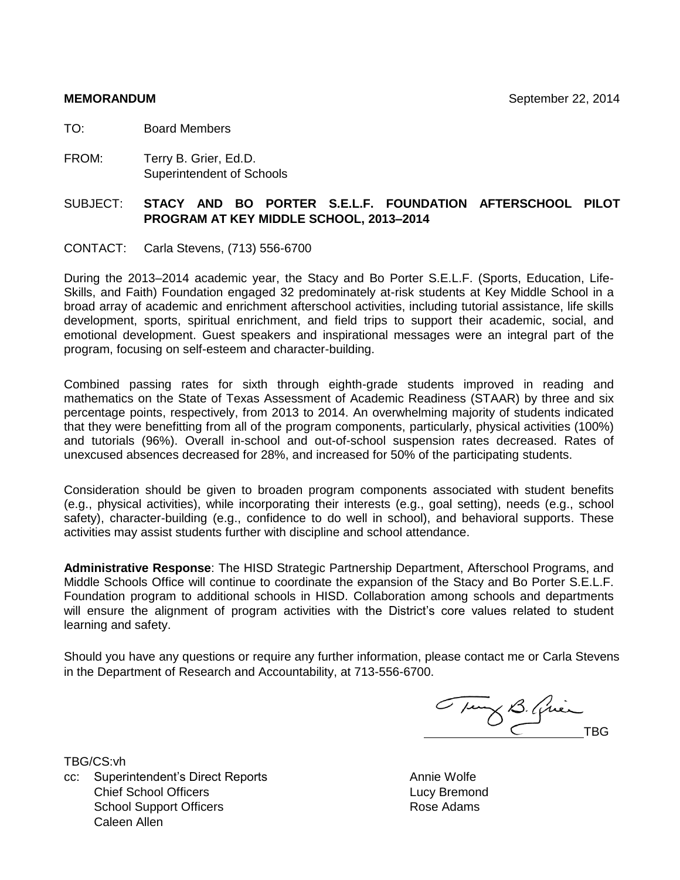TO: Board Members

FROM: Terry B. Grier, Ed.D. Superintendent of Schools

#### SUBJECT: **STACY AND BO PORTER S.E.L.F. FOUNDATION AFTERSCHOOL PILOT PROGRAM AT KEY MIDDLE SCHOOL, 2013–2014**

CONTACT: Carla Stevens, (713) 556-6700

During the 2013–2014 academic year, the Stacy and Bo Porter S.E.L.F. (Sports, Education, Life-Skills, and Faith) Foundation engaged 32 predominately at-risk students at Key Middle School in a broad array of academic and enrichment afterschool activities, including tutorial assistance, life skills development, sports, spiritual enrichment, and field trips to support their academic, social, and emotional development. Guest speakers and inspirational messages were an integral part of the program, focusing on self-esteem and character-building.

Combined passing rates for sixth through eighth-grade students improved in reading and mathematics on the State of Texas Assessment of Academic Readiness (STAAR) by three and six percentage points, respectively, from 2013 to 2014. An overwhelming majority of students indicated that they were benefitting from all of the program components, particularly, physical activities (100%) and tutorials (96%). Overall in-school and out-of-school suspension rates decreased. Rates of unexcused absences decreased for 28%, and increased for 50% of the participating students.

Consideration should be given to broaden program components associated with student benefits (e.g., physical activities), while incorporating their interests (e.g., goal setting), needs (e.g., school safety), character-building (e.g., confidence to do well in school), and behavioral supports. These activities may assist students further with discipline and school attendance.

**Administrative Response**: The HISD Strategic Partnership Department, Afterschool Programs, and Middle Schools Office will continue to coordinate the expansion of the Stacy and Bo Porter S.E.L.F. Foundation program to additional schools in HISD. Collaboration among schools and departments will ensure the alignment of program activities with the District's core values related to student learning and safety.

Should you have any questions or require any further information, please contact me or Carla Stevens in the Department of Research and Accountability, at 713-556-6700.

Tury B. Qui

TBG/CS:vh

cc: Superintendent's Direct Reports Annie Wolfe **Chief School Officers Lucy Bremond** School Support Officers Caleen Allen

Rose Adams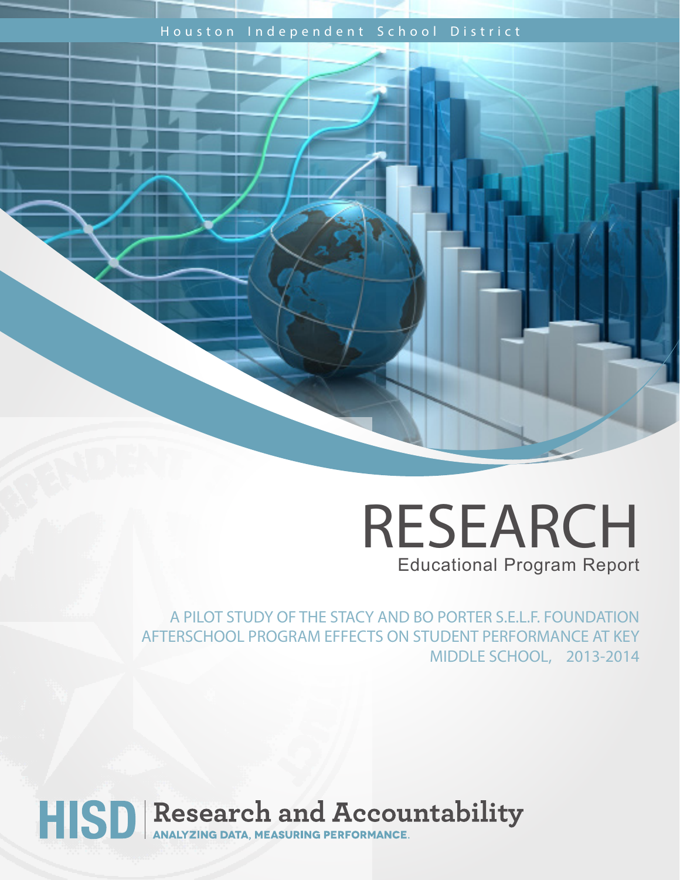### Houston Independent School District

## RESEARCH Educational Program Report

A PILOT STUDY OF THE STACY AND BO PORTER S.E.L.F. FOUNDATION AFTERSCHOOL PROGRAM EFFECTS ON STUDENT PERFORMANCE AT KEY MIDDLE SCHOOL, 2013-2014

# HISD Research and Accountability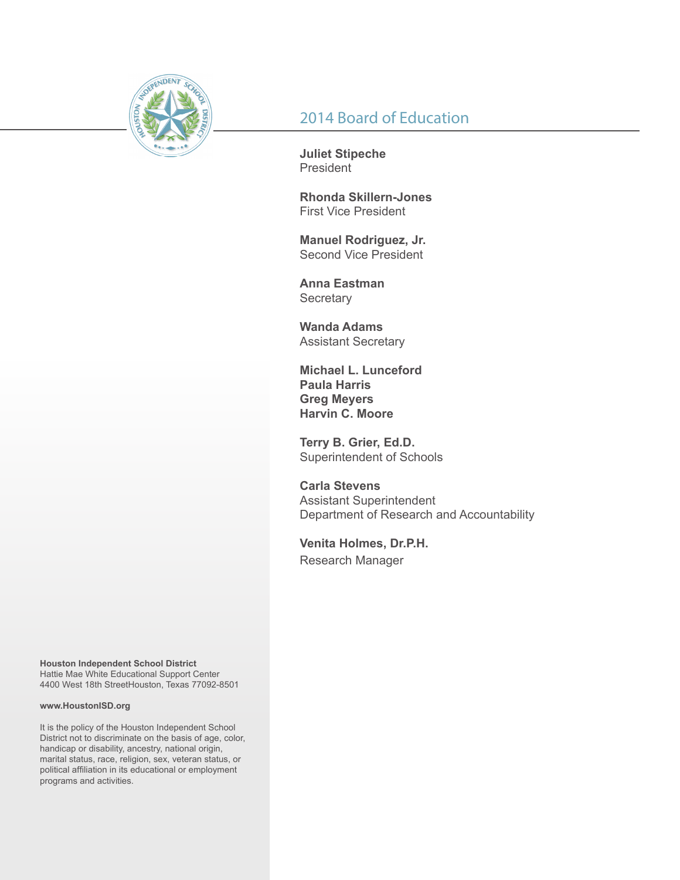

## 2014 Board of Education

**Juliet Stipeche** President

**Rhonda Skillern-Jones** First Vice President

**Manuel Rodriguez, Jr.** Second Vice President

**Anna Eastman Secretary** 

**Wanda Adams** Assistant Secretary

**Michael L. Lunceford Paula Harris Greg Meyers Harvin C. Moore**

**Terry B. Grier, Ed.D.** Superintendent of Schools

**Carla Stevens** Assistant Superintendent Department of Research and Accountability

**Venita Holmes, Dr.P.H.** Research Manager

**Houston Independent School District** Hattie Mae White Educational Support Center 4400 West 18th StreetHouston, Texas 77092-8501

#### **www.HoustonISD.org**

It is the policy of the Houston Independent School District not to discriminate on the basis of age, color, handicap or disability, ancestry, national origin, marital status, race, religion, sex, veteran status, or political affiliation in its educational or employment programs and activities.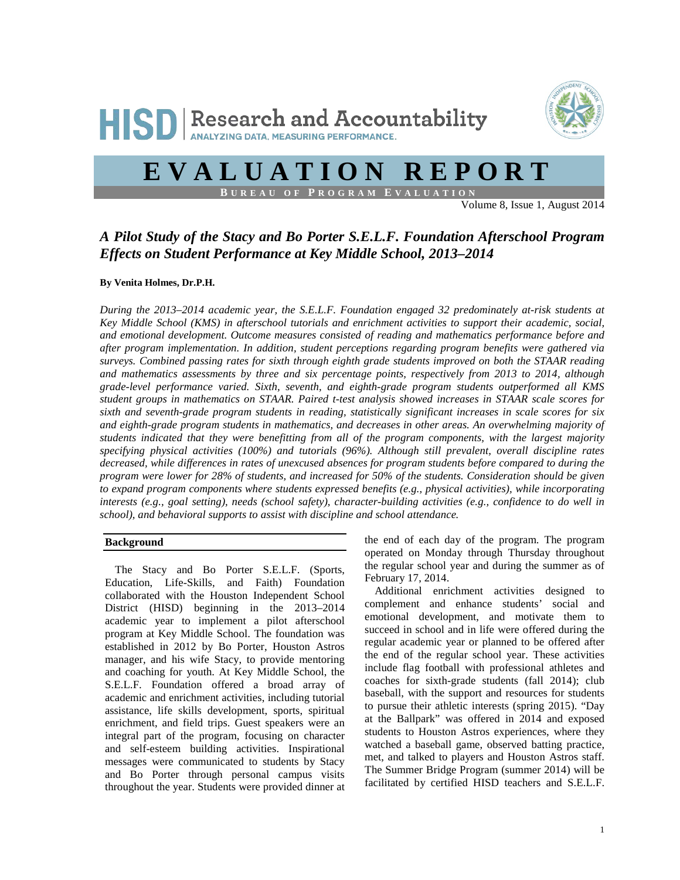

## **EVALUATION REPORT**

**B UREAU OF P ROGRAM E VALUATION**

Volume 8, Issue 1, August 2014

#### *A Pilot Study of the Stacy and Bo Porter S.E.L.F. Foundation Afterschool Program Effects on Student Performance at Key Middle School, 2013–2014*

#### **By Venita Holmes, Dr.P.H.**

*During the 2013–2014 academic year, the S.E.L.F. Foundation engaged 32 predominately at-risk students at Key Middle School (KMS) in afterschool tutorials and enrichment activities to support their academic, social, and emotional development. Outcome measures consisted of reading and mathematics performance before and after program implementation. In addition, student perceptions regarding program benefits were gathered via surveys. Combined passing rates for sixth through eighth grade students improved on both the STAAR reading and mathematics assessments by three and six percentage points, respectively from 2013 to 2014, although grade-level performance varied. Sixth, seventh, and eighth-grade program students outperformed all KMS student groups in mathematics on STAAR. Paired t-test analysis showed increases in STAAR scale scores for sixth and seventh-grade program students in reading, statistically significant increases in scale scores for six and eighth-grade program students in mathematics, and decreases in other areas. An overwhelming majority of students indicated that they were benefitting from all of the program components, with the largest majority specifying physical activities (100%) and tutorials (96%). Although still prevalent, overall discipline rates decreased, while differences in rates of unexcused absences for program students before compared to during the program were lower for 28% of students, and increased for 50% of the students. Consideration should be given to expand program components where students expressed benefits (e.g., physical activities), while incorporating interests (e.g., goal setting), needs (school safety), character-building activities (e.g., confidence to do well in school), and behavioral supports to assist with discipline and school attendance.*

#### **Background**

The Stacy and Bo Porter S.E.L.F. (Sports, Education, Life-Skills, and Faith) Foundation collaborated with the Houston Independent School District (HISD) beginning in the 2013–2014 academic year to implement a pilot afterschool program at Key Middle School. The foundation was established in 2012 by Bo Porter, Houston Astros manager, and his wife Stacy, to provide mentoring and coaching for youth. At Key Middle School, the S.E.L.F. Foundation offered a broad array of academic and enrichment activities, including tutorial assistance, life skills development, sports, spiritual enrichment, and field trips. Guest speakers were an integral part of the program, focusing on character and self-esteem building activities. Inspirational messages were communicated to students by Stacy and Bo Porter through personal campus visits throughout the year. Students were provided dinner at the end of each day of the program. The program operated on Monday through Thursday throughout the regular school year and during the summer as of February 17, 2014.

Additional enrichment activities designed to complement and enhance students' social and emotional development, and motivate them to succeed in school and in life were offered during the regular academic year or planned to be offered after the end of the regular school year. These activities include flag football with professional athletes and coaches for sixth-grade students (fall 2014); club baseball, with the support and resources for students to pursue their athletic interests (spring 2015). "Day at the Ballpark" was offered in 2014 and exposed students to Houston Astros experiences, where they watched a baseball game, observed batting practice, met, and talked to players and Houston Astros staff. The Summer Bridge Program (summer 2014) will be facilitated by certified HISD teachers and S.E.L.F.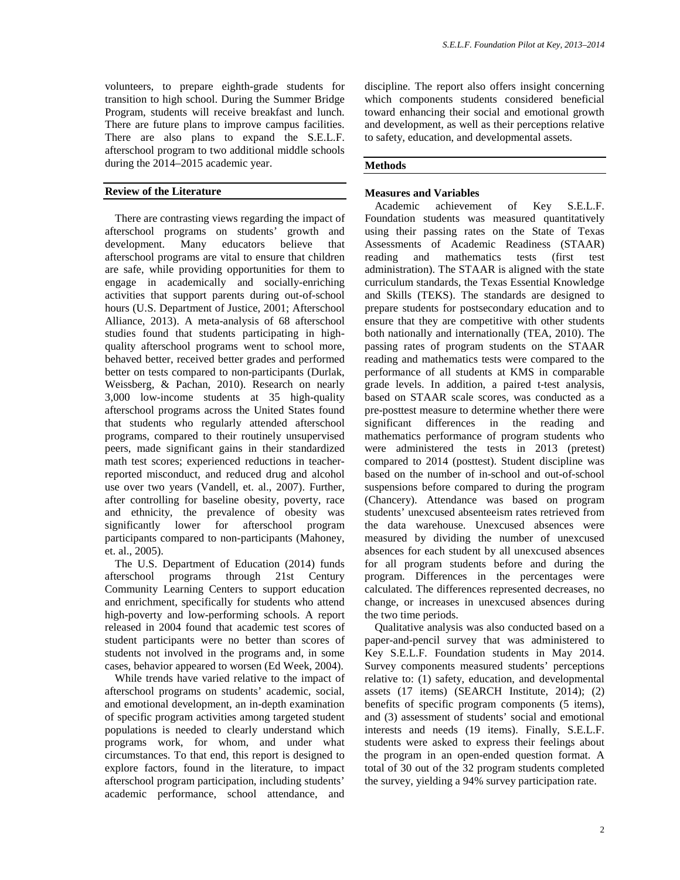volunteers, to prepare eighth-grade students for transition to high school. During the Summer Bridge Program, students will receive breakfast and lunch. There are future plans to improve campus facilities. There are also plans to expand the S.E.L.F. afterschool program to two additional middle schools during the 2014–2015 academic year.

#### **Review of the Literature**

There are contrasting views regarding the impact of afterschool programs on students' growth and development. Many educators believe that afterschool programs are vital to ensure that children are safe, while providing opportunities for them to engage in academically and socially-enriching activities that support parents during out-of-school hours (U.S. Department of Justice, 2001; Afterschool Alliance, 2013). A meta-analysis of 68 afterschool studies found that students participating in highquality afterschool programs went to school more, behaved better, received better grades and performed better on tests compared to non-participants (Durlak, Weissberg, & Pachan, 2010). Research on nearly 3,000 low-income students at 35 high-quality afterschool programs across the United States found that students who regularly attended afterschool programs, compared to their routinely unsupervised peers, made significant gains in their standardized math test scores; experienced reductions in teacherreported misconduct, and reduced drug and alcohol use over two years (Vandell, et. al., 2007). Further, after controlling for baseline obesity, poverty, race and ethnicity, the prevalence of obesity was significantly lower for afterschool program participants compared to non-participants (Mahoney, et. al., 2005).

The U.S. Department of Education (2014) funds afterschool programs through 21st Century Community Learning Centers to support education and enrichment, specifically for students who attend high-poverty and low-performing schools. A report released in 2004 found that academic test scores of student participants were no better than scores of students not involved in the programs and, in some cases, behavior appeared to worsen (Ed Week, 2004).

While trends have varied relative to the impact of afterschool programs on students' academic, social, and emotional development, an in-depth examination of specific program activities among targeted student populations is needed to clearly understand which programs work, for whom, and under what circumstances. To that end, this report is designed to explore factors, found in the literature, to impact afterschool program participation, including students' academic performance, school attendance, and discipline. The report also offers insight concerning which components students considered beneficial toward enhancing their social and emotional growth and development, as well as their perceptions relative to safety, education, and developmental assets.

#### **Methods**

#### **Measures and Variables**

Academic achievement of Key S.E.L.F. Foundation students was measured quantitatively using their passing rates on the State of Texas Assessments of Academic Readiness (STAAR) reading and mathematics tests (first test administration). The STAAR is aligned with the state curriculum standards, the Texas Essential Knowledge and Skills (TEKS). The standards are designed to prepare students for postsecondary education and to ensure that they are competitive with other students both nationally and internationally (TEA, 2010). The passing rates of program students on the STAAR reading and mathematics tests were compared to the performance of all students at KMS in comparable grade levels. In addition, a paired t-test analysis, based on STAAR scale scores, was conducted as a pre-posttest measure to determine whether there were significant differences in the reading and mathematics performance of program students who were administered the tests in 2013 (pretest) compared to 2014 (posttest). Student discipline was based on the number of in-school and out-of-school suspensions before compared to during the program (Chancery). Attendance was based on program students' unexcused absenteeism rates retrieved from the data warehouse. Unexcused absences were measured by dividing the number of unexcused absences for each student by all unexcused absences for all program students before and during the program. Differences in the percentages were calculated. The differences represented decreases, no change, or increases in unexcused absences during the two time periods.

Qualitative analysis was also conducted based on a paper-and-pencil survey that was administered to Key S.E.L.F. Foundation students in May 2014. Survey components measured students' perceptions relative to: (1) safety, education, and developmental assets (17 items) (SEARCH Institute, 2014); (2) benefits of specific program components (5 items), and (3) assessment of students' social and emotional interests and needs (19 items). Finally, S.E.L.F. students were asked to express their feelings about the program in an open-ended question format. A total of 30 out of the 32 program students completed the survey, yielding a 94% survey participation rate.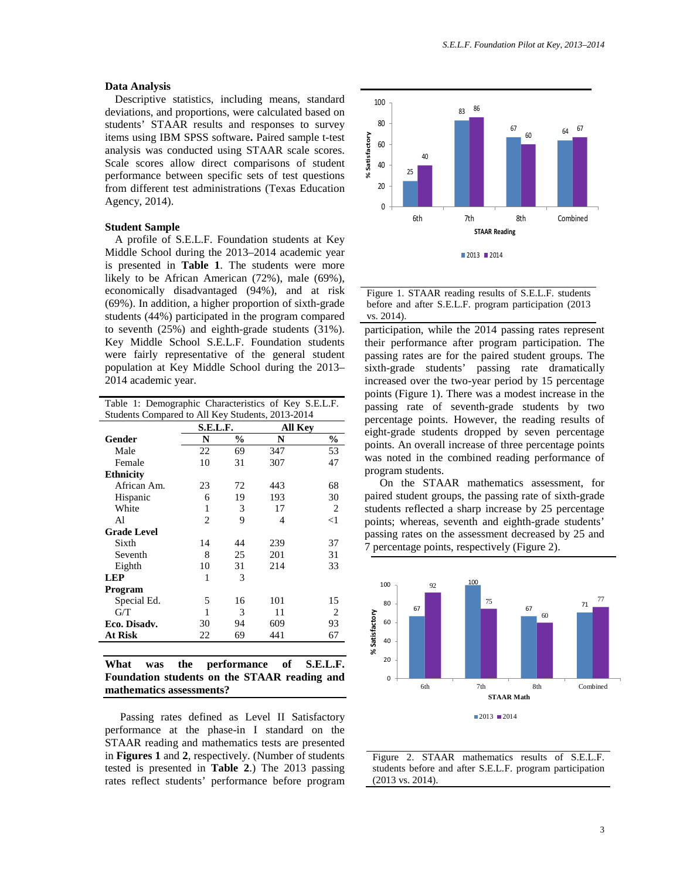#### **Data Analysis**

Descriptive statistics, including means, standard deviations, and proportions, were calculated based on students' STAAR results and responses to survey items using IBM SPSS software**.** Paired sample t-test analysis was conducted using STAAR scale scores. Scale scores allow direct comparisons of student performance between specific sets of test questions from different test administrations (Texas Education Agency, 2014).

#### **Student Sample**

A profile of S.E.L.F. Foundation students at Key Middle School during the 2013–2014 academic year is presented in **Table 1**. The students were more likely to be African American (72%), male (69%), economically disadvantaged (94%), and at risk (69%). In addition, a higher proportion of sixth-grade students (44%) participated in the program compared to seventh (25%) and eighth-grade students (31%). Key Middle School S.E.L.F. Foundation students were fairly representative of the general student population at Key Middle School during the 2013– 2014 academic year.

| Table 1: Demographic Characteristics of Key S.E.L.F. |          |               |         |                |  |
|------------------------------------------------------|----------|---------------|---------|----------------|--|
| Students Compared to All Key Students, 2013-2014     |          |               |         |                |  |
|                                                      | S.E.L.F. |               | All Key |                |  |
| Gender                                               | N        | $\frac{0}{0}$ | N       | $\frac{0}{0}$  |  |
| Male                                                 | 22       | 69            | 347     | 53             |  |
| Female                                               | 10       | 31            | 307     | 47             |  |
| <b>Ethnicity</b>                                     |          |               |         |                |  |
| African Am.                                          | 23       | 72            | 443     | 68             |  |
| Hispanic                                             | 6        | 19            | 193     | 30             |  |
| White                                                | 1        | 3             | 17      | $\overline{2}$ |  |
| Al                                                   | 2        | 9             | 4       | $<$ 1          |  |
| <b>Grade Level</b>                                   |          |               |         |                |  |
| Sixth                                                | 14       | 44            | 239     | 37             |  |
| Seventh                                              | 8        | 25            | 201     | 31             |  |
| Eighth                                               | 10       | 31            | 214     | 33             |  |
| <b>LEP</b>                                           | 1        | 3             |         |                |  |
| Program                                              |          |               |         |                |  |
| Special Ed.                                          | 5        | 16            | 101     | 15             |  |
| G/T                                                  | 1        | 3             | 11      | 2              |  |
| Eco. Disadv.                                         | 30       | 94            | 609     | 93             |  |
| <b>At Risk</b>                                       | 22       | 69            | 441     | 67             |  |
|                                                      |          |               |         |                |  |

|                          |  | What was the performance of S.E.L.F.         |  |  |  |  |  |  |
|--------------------------|--|----------------------------------------------|--|--|--|--|--|--|
|                          |  | Foundation students on the STAAR reading and |  |  |  |  |  |  |
| mathematics assessments? |  |                                              |  |  |  |  |  |  |

Passing rates defined as Level II Satisfactory performance at the phase-in I standard on the STAAR reading and mathematics tests are presented in **Figures 1** and **2**, respectively. (Number of students tested is presented in **Table 2**.) The 2013 passing rates reflect students' performance before program



Figure 1. STAAR reading results of S.E.L.F. students before and after S.E.L.F. program participation (2013 vs. 2014).

participation, while the 2014 passing rates represent their performance after program participation. The passing rates are for the paired student groups. The sixth-grade students' passing rate dramatically increased over the two-year period by 15 percentage points (Figure 1). There was a modest increase in the passing rate of seventh-grade students by two percentage points. However, the reading results of eight-grade students dropped by seven percentage points. An overall increase of three percentage points was noted in the combined reading performance of program students.

On the STAAR mathematics assessment, for paired student groups, the passing rate of sixth-grade students reflected a sharp increase by 25 percentage points; whereas, seventh and eighth-grade students' passing rates on the assessment decreased by 25 and 7 percentage points, respectively (Figure 2).



Figure 2. STAAR mathematics results of S.E.L.F. students before and after S.E.L.F. program participation (2013 vs. 2014).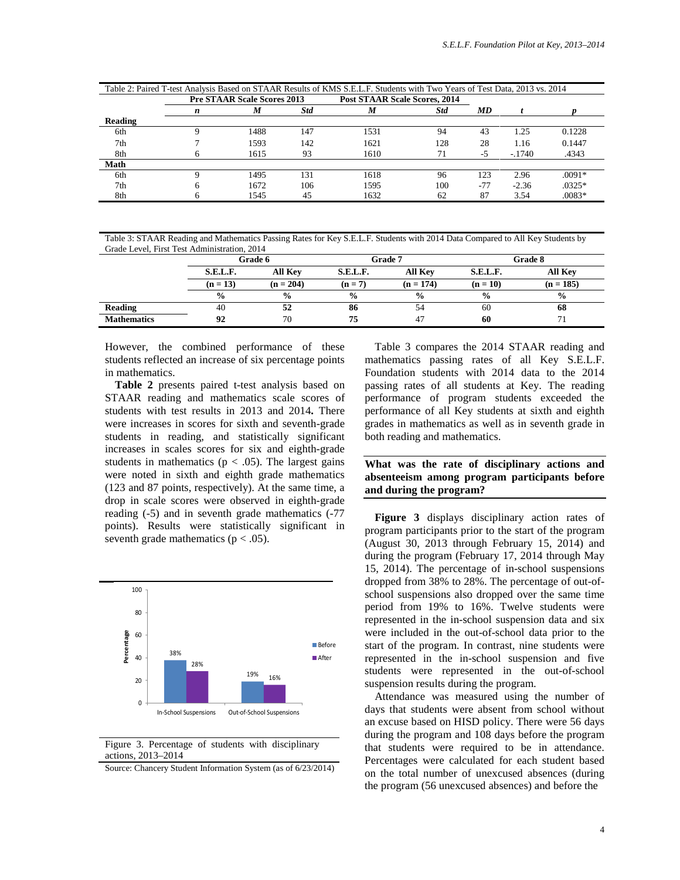| Table 2: Paired T-test Analysis Based on STAAR Results of KMS S.E.L.F. Students with Two Years of Test Data, 2013 vs. 2014 |   |                                    |            |                                      |            |           |          |          |
|----------------------------------------------------------------------------------------------------------------------------|---|------------------------------------|------------|--------------------------------------|------------|-----------|----------|----------|
|                                                                                                                            |   | <b>Pre STAAR Scale Scores 2013</b> |            | <b>Post STAAR Scale Scores, 2014</b> |            |           |          |          |
|                                                                                                                            | n | M                                  | <b>Std</b> | M                                    | <b>Std</b> | <b>MD</b> |          |          |
| Reading                                                                                                                    |   |                                    |            |                                      |            |           |          |          |
| 6th                                                                                                                        |   | 1488                               | 147        | 1531                                 | 94         | 43        | 1.25     | 0.1228   |
| 7th                                                                                                                        |   | 1593                               | 142        | 1621                                 | 128        | 28        | 1.16     | 0.1447   |
| 8th                                                                                                                        | h | 1615                               | 93         | 1610                                 | 71         | $-5$      | $-.1740$ | .4343    |
| Math                                                                                                                       |   |                                    |            |                                      |            |           |          |          |
| 6th                                                                                                                        | Ω | 1495                               | 131        | 1618                                 | 96         | 123       | 2.96     | $.0091*$ |
| 7th                                                                                                                        | 6 | 1672                               | 106        | 1595                                 | 100        | $-77$     | $-2.36$  | $.0325*$ |
| 8th                                                                                                                        | h | 1545                               | 45         | 1632                                 | 62         | 87        | 3.54     | $.0083*$ |

Table 3: STAAR Reading and Mathematics Passing Rates for Key S.E.L.F. Students with 2014 Data Compared to All Key Students by Grade Level, First Test Administration, 2014

|                    | Grade 6                    |               |               | Grade 7        | <b>Grade 8</b> |                |  |
|--------------------|----------------------------|---------------|---------------|----------------|----------------|----------------|--|
|                    | S.E.L.F.<br><b>All Key</b> |               | S.E.L.F.      | <b>All Key</b> | S.E.L.F.       | <b>All Key</b> |  |
|                    | $(n = 13)$                 | $(n = 204)$   | $(n = 7)$     | $(n = 174)$    | $(n = 10)$     | $(n = 185)$    |  |
|                    | $\frac{0}{0}$              | $\frac{0}{0}$ | $\frac{0}{0}$ | $\frac{6}{9}$  | $\frac{0}{0}$  | $\frac{0}{0}$  |  |
| Reading            | 40                         | 52            | 86            | 54             | 60             | 68             |  |
| <b>Mathematics</b> | 92                         | 70            | 75            | 47             | 60             |                |  |

However, the combined performance of these students reflected an increase of six percentage points in mathematics.

**Table 2** presents paired t-test analysis based on STAAR reading and mathematics scale scores of students with test results in 2013 and 2014**.** There were increases in scores for sixth and seventh-grade students in reading, and statistically significant increases in scales scores for six and eighth-grade students in mathematics ( $p < .05$ ). The largest gains were noted in sixth and eighth grade mathematics (123 and 87 points, respectively). At the same time, a drop in scale scores were observed in eighth-grade reading (-5) and in seventh grade mathematics (-77 points). Results were statistically significant in seventh grade mathematics ( $p < .05$ ).



Figure 3. Percentage of students with disciplinary actions, 2013–2014

Source: Chancery Student Information System (as of 6/23/2014)

Table 3 compares the 2014 STAAR reading and mathematics passing rates of all Key S.E.L.F. Foundation students with 2014 data to the 2014 passing rates of all students at Key. The reading performance of program students exceeded the performance of all Key students at sixth and eighth grades in mathematics as well as in seventh grade in both reading and mathematics.

#### **What was the rate of disciplinary actions and absenteeism among program participants before and during the program?**

**Figure 3** displays disciplinary action rates of program participants prior to the start of the program (August 30, 2013 through February 15, 2014) and during the program (February 17, 2014 through May 15, 2014). The percentage of in-school suspensions dropped from 38% to 28%. The percentage of out-ofschool suspensions also dropped over the same time period from 19% to 16%. Twelve students were represented in the in-school suspension data and six were included in the out-of-school data prior to the start of the program. In contrast, nine students were represented in the in-school suspension and five students were represented in the out-of-school suspension results during the program.

Attendance was measured using the number of days that students were absent from school without an excuse based on HISD policy. There were 56 days during the program and 108 days before the program that students were required to be in attendance. Percentages were calculated for each student based on the total number of unexcused absences (during the program (56 unexcused absences) and before the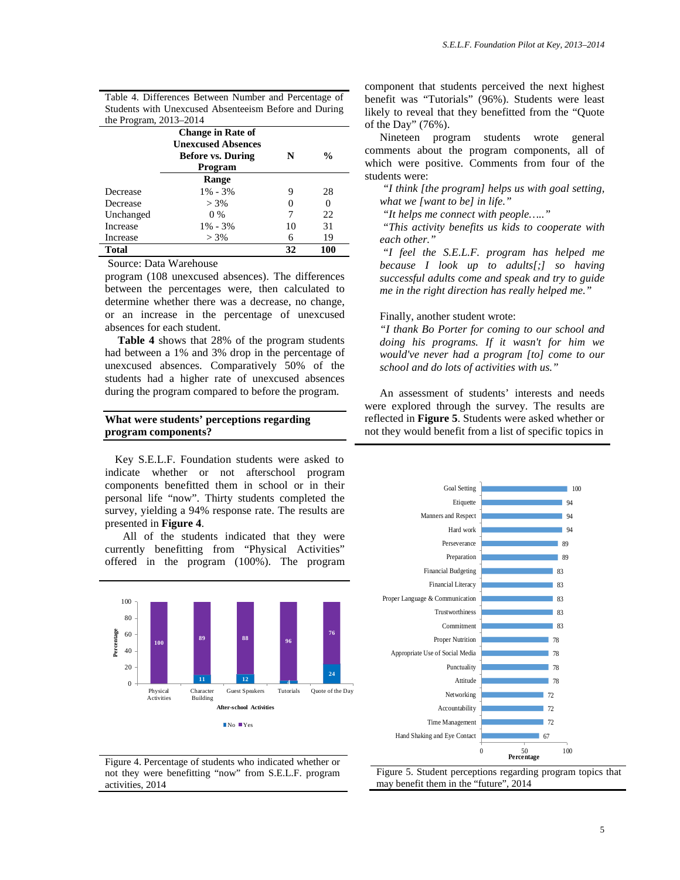Table 4. Differences Between Number and Percentage of Students with Unexcused Absenteeism Before and During the Program, 2013–2014

|                 | <b>Change in Rate of</b>  |    |               |
|-----------------|---------------------------|----|---------------|
|                 | <b>Unexcused Absences</b> |    |               |
|                 | <b>Before vs. During</b>  | N  | $\frac{0}{0}$ |
|                 | Program                   |    |               |
|                 | Range                     |    |               |
| Decrease        | $1\% - 3\%$               | 9  | 28            |
| Decrease        | $> 3\%$                   |    |               |
| Unchanged       | $0\%$                     | 7  | 22            |
| <b>Increase</b> | $1\% - 3\%$               | 10 | 31            |
| Increase        | $> 3\%$                   | 6  | 19            |
| Total           |                           | 32 | 100           |

Source: Data Warehouse

program (108 unexcused absences). The differences between the percentages were, then calculated to determine whether there was a decrease, no change, or an increase in the percentage of unexcused absences for each student.

**Table 4** shows that 28% of the program students had between a 1% and 3% drop in the percentage of unexcused absences. Comparatively 50% of the students had a higher rate of unexcused absences during the program compared to before the program.

#### **What were students' perceptions regarding program components?**

Key S.E.L.F. Foundation students were asked to indicate whether or not afterschool program components benefitted them in school or in their personal life "now". Thirty students completed the survey, yielding a 94% response rate. The results are presented in **Figure 4**.

All of the students indicated that they were currently benefitting from "Physical Activities" offered in the program (100%). The program



Figure 4. Percentage of students who indicated whether or not they were benefitting "now" from S.E.L.F. program activities, 2014

component that students perceived the next highest benefit was "Tutorials" (96%). Students were least likely to reveal that they benefitted from the "Quote of the Day" (76%).

Nineteen program students wrote general comments about the program components, all of which were positive. Comments from four of the students were:

*"I think [the program] helps us with goal setting, what we [want to be] in life."*

*"It helps me connect with people….."*

*"This activity benefits us kids to cooperate with each other."*

*"I feel the S.E.L.F. program has helped me because I look up to adults[;] so having successful adults come and speak and try to guide me in the right direction has really helped me."*

#### Finally, another student wrote:

*"I thank Bo Porter for coming to our school and doing his programs. If it wasn't for him we would've never had a program [to] come to our school and do lots of activities with us."*

An assessment of students' interests and needs were explored through the survey. The results are reflected in **Figure 5**. Students were asked whether or not they would benefit from a list of specific topics in



Figure 5. Student perceptions regarding program topics that may benefit them in the "future", 2014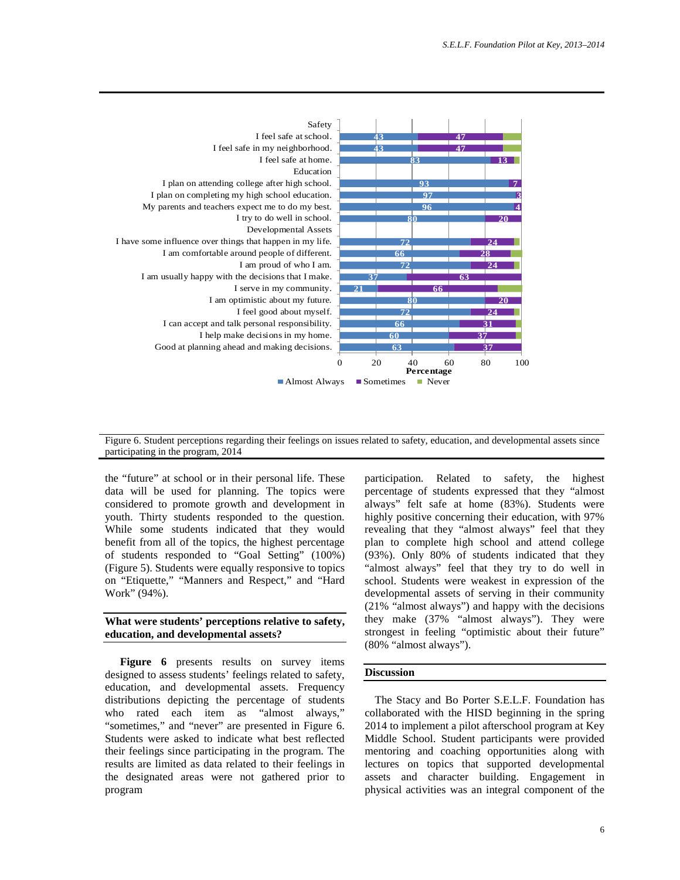

Figure 6. Student perceptions regarding their feelings on issues related to safety, education, and developmental assets since participating in the program, 2014

the "future" at school or in their personal life. These data will be used for planning. The topics were considered to promote growth and development in youth. Thirty students responded to the question. While some students indicated that they would benefit from all of the topics, the highest percentage of students responded to "Goal Setting" (100%) (Figure 5). Students were equally responsive to topics on "Etiquette," "Manners and Respect," and "Hard Work" (94%).

#### **What were students' perceptions relative to safety, education, and developmental assets?**

**Figure 6** presents results on survey items designed to assess students' feelings related to safety, education, and developmental assets. Frequency distributions depicting the percentage of students who rated each item as "almost always," "sometimes," and "never" are presented in Figure 6. Students were asked to indicate what best reflected their feelings since participating in the program. The results are limited as data related to their feelings in the designated areas were not gathered prior to program

participation. Related to safety, the highest percentage of students expressed that they "almost always" felt safe at home (83%). Students were highly positive concerning their education, with 97% revealing that they "almost always" feel that they plan to complete high school and attend college (93%). Only 80% of students indicated that they "almost always" feel that they try to do well in school. Students were weakest in expression of the developmental assets of serving in their community (21% "almost always") and happy with the decisions they make (37% "almost always"). They were strongest in feeling "optimistic about their future" (80% "almost always").

#### **Discussion**

The Stacy and Bo Porter S.E.L.F. Foundation has collaborated with the HISD beginning in the spring 2014 to implement a pilot afterschool program at Key Middle School. Student participants were provided mentoring and coaching opportunities along with lectures on topics that supported developmental assets and character building. Engagement in physical activities was an integral component of the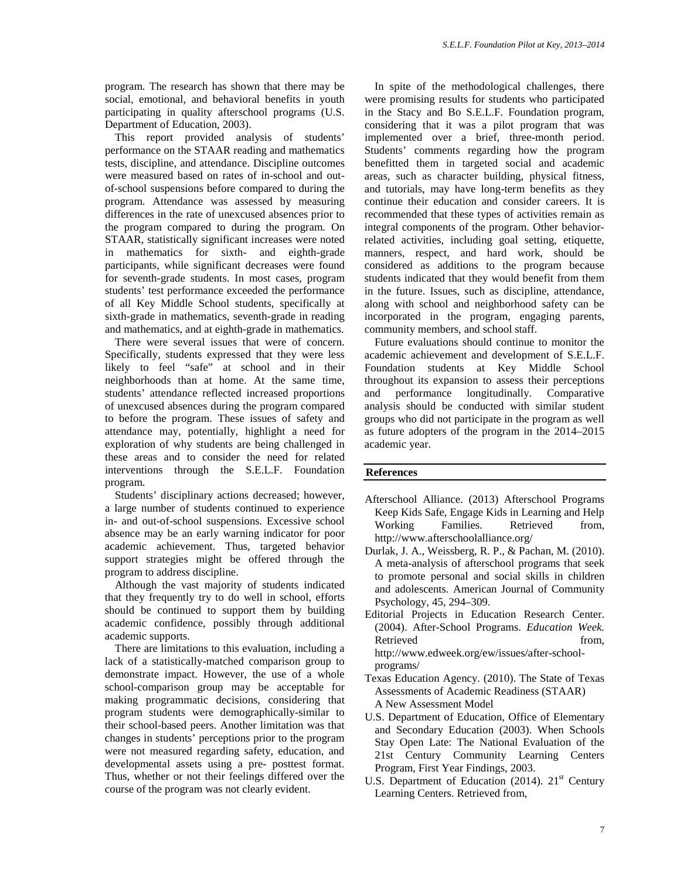program. The research has shown that there may be social, emotional, and behavioral benefits in youth participating in quality afterschool programs (U.S. Department of Education, 2003).

This report provided analysis of students' performance on the STAAR reading and mathematics tests, discipline, and attendance. Discipline outcomes were measured based on rates of in-school and outof-school suspensions before compared to during the program. Attendance was assessed by measuring differences in the rate of unexcused absences prior to the program compared to during the program. On STAAR, statistically significant increases were noted in mathematics for sixth- and eighth-grade participants, while significant decreases were found for seventh-grade students. In most cases, program students' test performance exceeded the performance of all Key Middle School students, specifically at sixth-grade in mathematics, seventh-grade in reading and mathematics, and at eighth-grade in mathematics.

There were several issues that were of concern. Specifically, students expressed that they were less likely to feel "safe" at school and in their neighborhoods than at home. At the same time, students' attendance reflected increased proportions of unexcused absences during the program compared to before the program. These issues of safety and attendance may, potentially, highlight a need for exploration of why students are being challenged in these areas and to consider the need for related interventions through the S.E.L.F. Foundation program.

Students' disciplinary actions decreased; however, a large number of students continued to experience in- and out-of-school suspensions. Excessive school absence may be an early warning indicator for poor academic achievement. Thus, targeted behavior support strategies might be offered through the program to address discipline.

Although the vast majority of students indicated that they frequently try to do well in school, efforts should be continued to support them by building academic confidence, possibly through additional academic supports.

There are limitations to this evaluation, including a lack of a statistically-matched comparison group to demonstrate impact. However, the use of a whole school-comparison group may be acceptable for making programmatic decisions, considering that program students were demographically-similar to their school-based peers. Another limitation was that changes in students' perceptions prior to the program were not measured regarding safety, education, and developmental assets using a pre- posttest format. Thus, whether or not their feelings differed over the course of the program was not clearly evident.

In spite of the methodological challenges, there were promising results for students who participated in the Stacy and Bo S.E.L.F. Foundation program, considering that it was a pilot program that was implemented over a brief, three-month period. Students' comments regarding how the program benefitted them in targeted social and academic areas, such as character building, physical fitness, and tutorials, may have long-term benefits as they continue their education and consider careers. It is recommended that these types of activities remain as integral components of the program. Other behaviorrelated activities, including goal setting, etiquette, manners, respect, and hard work, should be considered as additions to the program because students indicated that they would benefit from them in the future. Issues, such as discipline, attendance, along with school and neighborhood safety can be incorporated in the program, engaging parents, community members, and school staff.

Future evaluations should continue to monitor the academic achievement and development of S.E.L.F. Foundation students at Key Middle School throughout its expansion to assess their perceptions and performance longitudinally. Comparative analysis should be conducted with similar student groups who did not participate in the program as well as future adopters of the program in the 2014–2015 academic year.

#### **References**

- Afterschool Alliance. (2013) Afterschool Programs Keep Kids Safe, Engage Kids in Learning and Help<br>Working Families. Retrieved from, Families. Retrieved from, http://www.afterschoolalliance.org/
- Durlak, J. A., Weissberg, R. P., & Pachan, M. (2010). A meta-analysis of afterschool programs that seek to promote personal and social skills in children and adolescents. American Journal of Community Psychology, 45, 294–309.
- Editorial Projects in Education Research Center. (2004). After-School Programs. *Education Week.* Retrieved from, http://www.edweek.org/ew/issues/after-schoolprograms/
- Texas Education Agency. (2010). The State of Texas Assessments of Academic Readiness (STAAR) A New Assessment Model
- U.S. Department of Education, Office of Elementary and Secondary Education (2003). When Schools Stay Open Late: The National Evaluation of the 21st Century Community Learning Centers Program, First Year Findings, 2003.
- U.S. Department of Education  $(2014)$ .  $21<sup>st</sup>$  Century Learning Centers. Retrieved from,